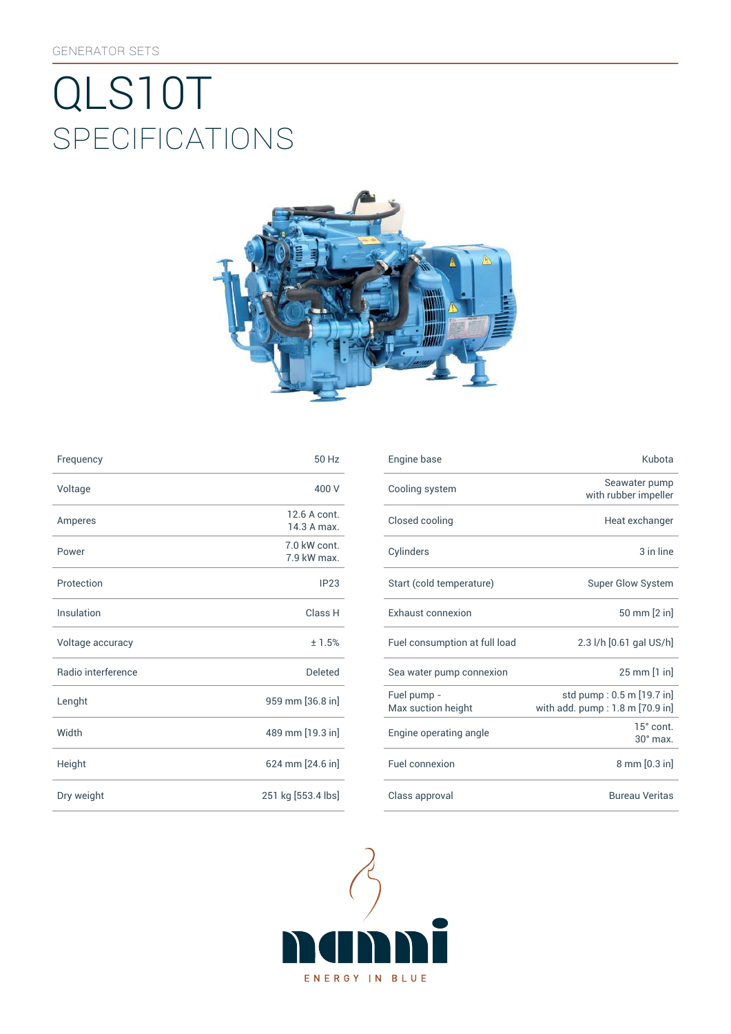# SpEcificATiONS QLS10T



| Frequency          | 50 Hz                       | Engine base                |
|--------------------|-----------------------------|----------------------------|
| Voltage            | 400 V                       | Cooling syst               |
| Amperes            | 12.6 A cont.<br>14.3 A max. | Closed cooli               |
| Power              | 7.0 kW cont.<br>7.9 kW max. | Cylinders                  |
| Protection         | IP23                        | Start (cold te             |
| Insulation         | Class H                     | Exhaust con                |
| Voltage accuracy   | ±1.5%                       | Fuel consum                |
| Radio interference | <b>Deleted</b>              | Sea water pu               |
| Lenght             | 959 mm [36.8 in]            | Fuel pump -<br>Max suction |
| Width              | 489 mm [19.3 in]            | Engine opera               |
| Height             | 624 mm [24.6 in]            | Fuel connexi               |
| Dry weight         | 251 kg [553.4 lbs]          | Class approv               |

| Frequency          | 50 Hz                       | Engine base                       | Kubota                                                         |
|--------------------|-----------------------------|-----------------------------------|----------------------------------------------------------------|
| Voltage            | 400 V                       | Cooling system                    | Seawater pump<br>with rubber impeller                          |
| Amperes            | 12.6 A cont.<br>14.3 A max. | Closed cooling                    | Heat exchanger                                                 |
| Power              | 7.0 kW cont.<br>7.9 kW max. | Cylinders                         | 3 in line                                                      |
| Protection         | IP <sub>23</sub>            | Start (cold temperature)          | <b>Super Glow System</b>                                       |
| Insulation         | Class H                     | Exhaust connexion                 | 50 mm [2 in]                                                   |
| Voltage accuracy   | ± 1.5%                      | Fuel consumption at full load     | 2.3 l/h [0.61 gal US/h]                                        |
| Radio interference | Deleted                     | Sea water pump connexion          | 25 mm [1 in]                                                   |
| Lenght             | 959 mm [36.8 in]            | Fuel pump -<br>Max suction height | std pump: 0.5 m [19.7 in]<br>with add. $pump: 1.8 m [70.9 in]$ |
| Width              | 489 mm [19.3 in]            | Engine operating angle            | 15° cont.<br>$30^\circ$ max.                                   |
| Height             | 624 mm [24.6 in]            | Fuel connexion                    | 8 mm [0.3 in]                                                  |
| Dry weight         | 251 kg [553.4 lbs]          | Class approval                    | <b>Bureau Veritas</b>                                          |